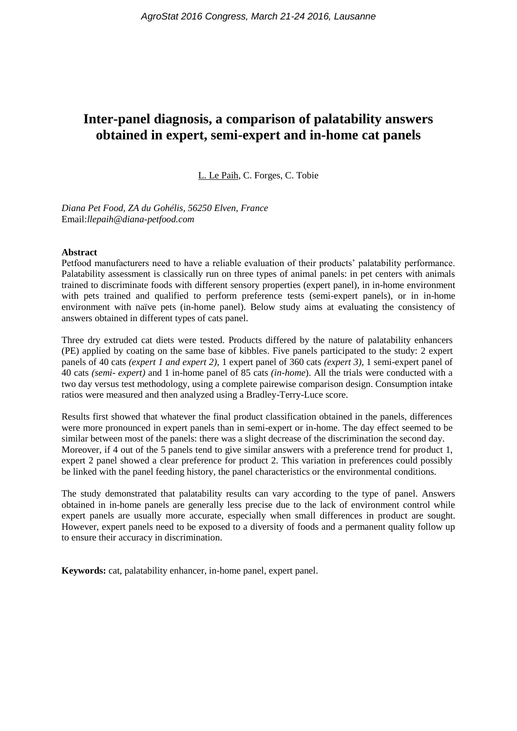# **Inter-panel diagnosis, a comparison of palatability answers obtained in expert, semi-expert and in-home cat panels**

L. Le Paih, C. Forges, C. Tobie

*Diana Pet Food, ZA du Gohélis, 56250 Elven, France* Email:*llepaih@diana-petfood.com*

#### **Abstract**

Petfood manufacturers need to have a reliable evaluation of their products' palatability performance. Palatability assessment is classically run on three types of animal panels: in pet centers with animals trained to discriminate foods with different sensory properties (expert panel), in in-home environment with pets trained and qualified to perform preference tests (semi-expert panels), or in in-home environment with naïve pets (in-home panel). Below study aims at evaluating the consistency of answers obtained in different types of cats panel.

Three dry extruded cat diets were tested. Products differed by the nature of palatability enhancers (PE) applied by coating on the same base of kibbles. Five panels participated to the study: 2 expert panels of 40 cats *(expert 1 and expert 2)*, 1 expert panel of 360 cats *(expert 3)*, 1 semi-expert panel of 40 cats *(semi- expert)* and 1 in-home panel of 85 cats *(in-home*). All the trials were conducted with a two day versus test methodology, using a complete pairewise comparison design. Consumption intake ratios were measured and then analyzed using a Bradley-Terry-Luce score.

Results first showed that whatever the final product classification obtained in the panels, differences were more pronounced in expert panels than in semi-expert or in-home. The day effect seemed to be similar between most of the panels: there was a slight decrease of the discrimination the second day. Moreover, if 4 out of the 5 panels tend to give similar answers with a preference trend for product 1, expert 2 panel showed a clear preference for product 2. This variation in preferences could possibly be linked with the panel feeding history, the panel characteristics or the environmental conditions.

The study demonstrated that palatability results can vary according to the type of panel. Answers obtained in in-home panels are generally less precise due to the lack of environment control while expert panels are usually more accurate, especially when small differences in product are sought. However, expert panels need to be exposed to a diversity of foods and a permanent quality follow up to ensure their accuracy in discrimination.

**Keywords:** cat, palatability enhancer, in-home panel, expert panel.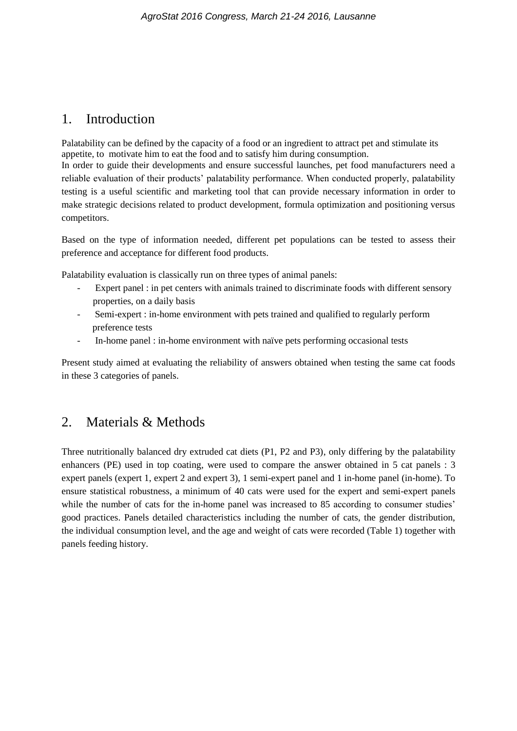## 1. Introduction

Palatability can be defined by the capacity of a food or an ingredient to attract pet and stimulate its appetite, to motivate him to eat the food and to satisfy him during consumption.

In order to guide their developments and ensure successful launches, pet food manufacturers need a reliable evaluation of their products' palatability performance. When conducted properly, palatability testing is a useful scientific and marketing tool that can provide necessary information in order to make strategic decisions related to product development, formula optimization and positioning versus competitors.

Based on the type of information needed, different pet populations can be tested to assess their preference and acceptance for different food products.

Palatability evaluation is classically run on three types of animal panels:

- Expert panel : in pet centers with animals trained to discriminate foods with different sensory properties, on a daily basis
- Semi-expert : in-home environment with pets trained and qualified to regularly perform preference tests
- In-home panel : in-home environment with naïve pets performing occasional tests

Present study aimed at evaluating the reliability of answers obtained when testing the same cat foods in these 3 categories of panels.

## 2. Materials & Methods

Three nutritionally balanced dry extruded cat diets (P1, P2 and P3), only differing by the palatability enhancers (PE) used in top coating, were used to compare the answer obtained in 5 cat panels : 3 expert panels (expert 1, expert 2 and expert 3), 1 semi-expert panel and 1 in-home panel (in-home). To ensure statistical robustness, a minimum of 40 cats were used for the expert and semi-expert panels while the number of cats for the in-home panel was increased to 85 according to consumer studies' good practices. Panels detailed characteristics including the number of cats, the gender distribution, the individual consumption level, and the age and weight of cats were recorded (Table 1) together with panels feeding history.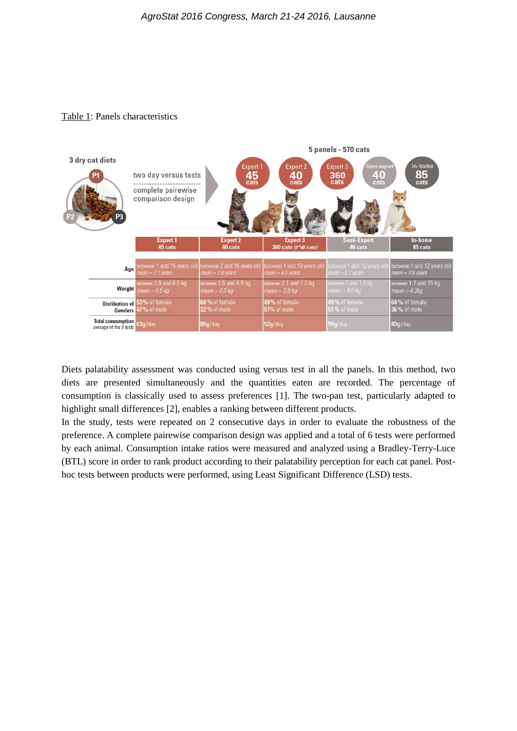#### Table 1: Panels characteristics



Diets palatability assessment was conducted using versus test in all the panels. In this method, two diets are presented simultaneously and the quantities eaten are recorded. The percentage of consumption is classically used to assess preferences [1]. The two-pan test, particularly adapted to highlight small differences [2], enables a ranking between different products.

In the study, tests were repeated on 2 consecutive days in order to evaluate the robustness of the preference. A complete pairewise comparison design was applied and a total of 6 tests were performed by each animal. Consumption intake ratios were measured and analyzed using a Bradley-Terry-Luce (BTL) score in order to rank product according to their palatability perception for each cat panel. Posthoc tests between products were performed, using Least Significant Difference (LSD) tests.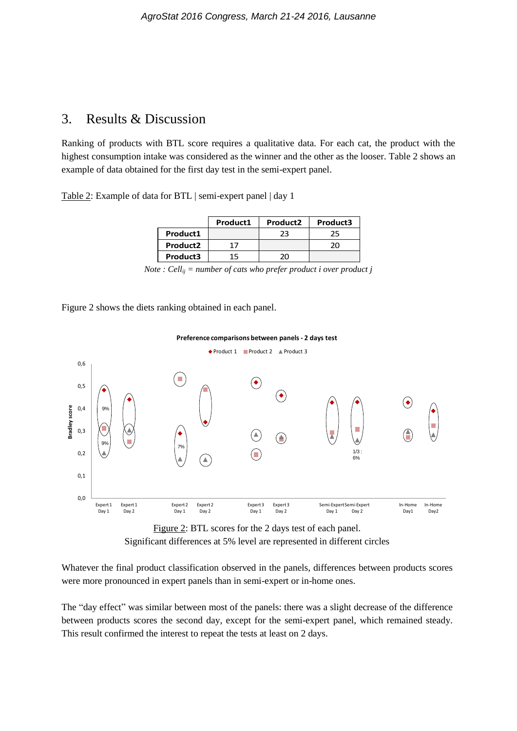### 3. Results & Discussion

Ranking of products with BTL score requires a qualitative data. For each cat, the product with the highest consumption intake was considered as the winner and the other as the looser. Table 2 shows an example of data obtained for the first day test in the semi-expert panel.

Table 2: Example of data for BTL | semi-expert panel | day 1

|                      | Product1 | Product <sub>2</sub> | Product3 |
|----------------------|----------|----------------------|----------|
| Product1             |          | 23                   | 25       |
| Product <sub>2</sub> | 17       |                      |          |
| Product3             | 15       | וזכ                  |          |

|  |  |  | Note : Cell <sub>ij</sub> = number of cats who prefer product i over product j |  |  |
|--|--|--|--------------------------------------------------------------------------------|--|--|
|  |  |  |                                                                                |  |  |

Figure 2 shows the diets ranking obtained in each panel.



Figure 2: BTL scores for the 2 days test of each panel. Significant differences at 5% level are represented in different circles 5% level are represented in different circles

Whatever the final product classification observed in the panels, differences between products scores were more pronounced in expert panels than in semi-expert or in-home ones.

The "day effect" was similar between most of the panels: there was a slight decrease of the difference between products scores the second day, except for the semi-expert panel, which remained steady. This result confirmed the interest to repeat the tests at least on 2 days.